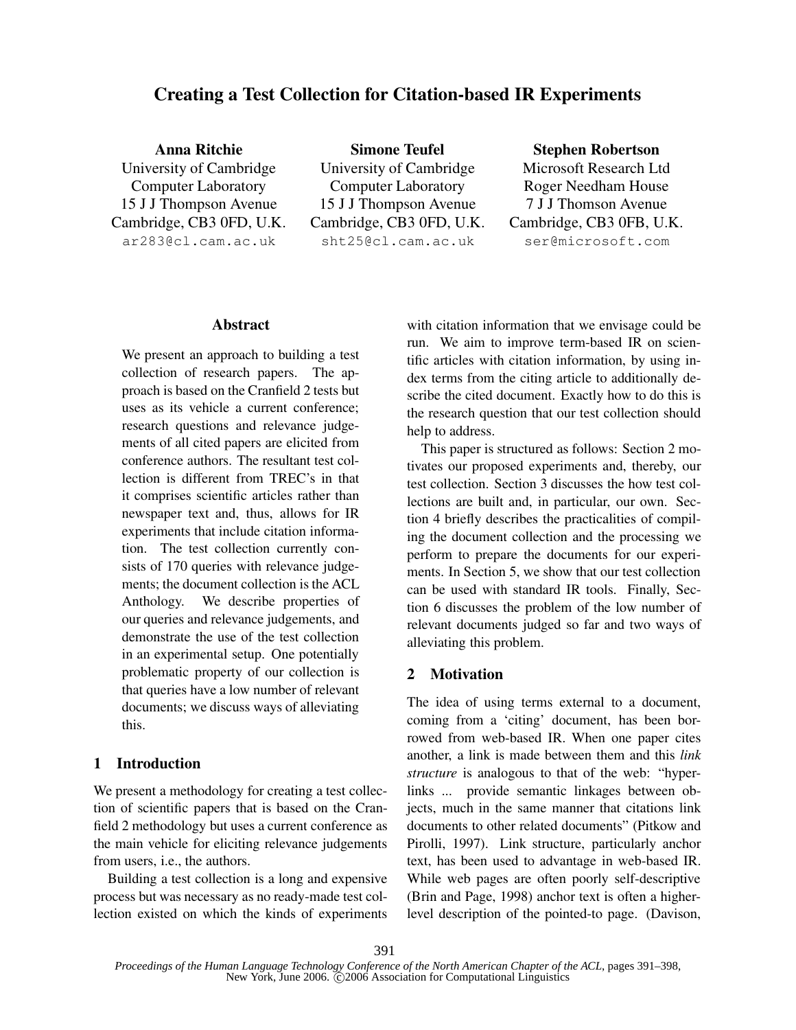# **Creating a Test Collection for Citation-based IR Experiments**

**Anna Ritchie** University of Cambridge Computer Laboratory 15 J J Thompson Avenue Cambridge, CB3 0FD, U.K. ar283@cl.cam.ac.uk

**Simone Teufel** University of Cambridge Computer Laboratory 15 J J Thompson Avenue Cambridge, CB3 0FD, U.K. sht25@cl.cam.ac.uk

**Stephen Robertson**

Microsoft Research Ltd Roger Needham House 7 J J Thomson Avenue Cambridge, CB3 0FB, U.K. ser@microsoft.com

## **Abstract**

We present an approach to building a test collection of research papers. The approach is based on the Cranfield 2 tests but uses as its vehicle a current conference; research questions and relevance judgements of all cited papers are elicited from conference authors. The resultant test collection is different from TREC's in that it comprises scientific articles rather than newspaper text and, thus, allows for IR experiments that include citation information. The test collection currently consists of 170 queries with relevance judgements; the document collection is the ACL Anthology. We describe properties of our queries and relevance judgements, and demonstrate the use of the test collection in an experimental setup. One potentially problematic property of our collection is that queries have a low number of relevant documents; we discuss ways of alleviating this.

# **1 Introduction**

We present a methodology for creating a test collection of scientific papers that is based on the Cranfield 2 methodology but uses a current conference as the main vehicle for eliciting relevance judgements from users, i.e., the authors.

Building a test collection is a long and expensive process but was necessary as no ready-made test collection existed on which the kinds of experiments with citation information that we envisage could be run. We aim to improve term-based IR on scientific articles with citation information, by using index terms from the citing article to additionally describe the cited document. Exactly how to do this is the research question that our test collection should help to address.

This paper is structured as follows: Section 2 motivates our proposed experiments and, thereby, our test collection. Section 3 discusses the how test collections are built and, in particular, our own. Section 4 briefly describes the practicalities of compiling the document collection and the processing we perform to prepare the documents for our experiments. In Section 5, we show that our test collection can be used with standard IR tools. Finally, Section 6 discusses the problem of the low number of relevant documents judged so far and two ways of alleviating this problem.

## **2 Motivation**

The idea of using terms external to a document, coming from a 'citing' document, has been borrowed from web-based IR. When one paper cites another, a link is made between them and this *link structure* is analogous to that of the web: "hyperlinks ... provide semantic linkages between objects, much in the same manner that citations link documents to other related documents" (Pitkow and Pirolli, 1997). Link structure, particularly anchor text, has been used to advantage in web-based IR. While web pages are often poorly self-descriptive (Brin and Page, 1998) anchor text is often a higherlevel description of the pointed-to page. (Davison,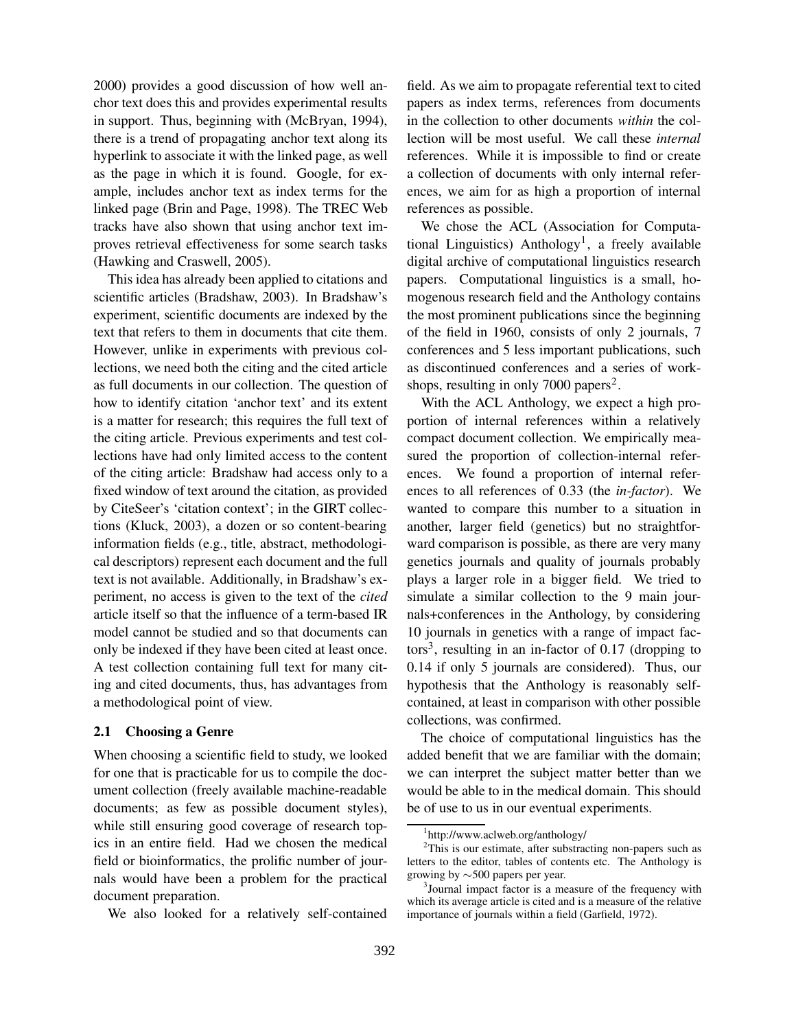2000) provides a good discussion of how well anchor text does this and provides experimental results in support. Thus, beginning with (McBryan, 1994), there is a trend of propagating anchor text along its hyperlink to associate it with the linked page, as well as the page in which it is found. Google, for example, includes anchor text as index terms for the linked page (Brin and Page, 1998). The TREC Web tracks have also shown that using anchor text improves retrieval effectiveness for some search tasks (Hawking and Craswell, 2005).

This idea has already been applied to citations and scientific articles (Bradshaw, 2003). In Bradshaw's experiment, scientific documents are indexed by the text that refers to them in documents that cite them. However, unlike in experiments with previous collections, we need both the citing and the cited article as full documents in our collection. The question of how to identify citation 'anchor text' and its extent is a matter for research; this requires the full text of the citing article. Previous experiments and test collections have had only limited access to the content of the citing article: Bradshaw had access only to a fixed window of text around the citation, as provided by CiteSeer's 'citation context'; in the GIRT collections (Kluck, 2003), a dozen or so content-bearing information fields (e.g., title, abstract, methodological descriptors) represent each document and the full text is not available. Additionally, in Bradshaw's experiment, no access is given to the text of the *cited* article itself so that the influence of a term-based IR model cannot be studied and so that documents can only be indexed if they have been cited at least once. A test collection containing full text for many citing and cited documents, thus, has advantages from a methodological point of view.

#### **2.1 Choosing a Genre**

When choosing a scientific field to study, we looked for one that is practicable for us to compile the document collection (freely available machine-readable documents; as few as possible document styles), while still ensuring good coverage of research topics in an entire field. Had we chosen the medical field or bioinformatics, the prolific number of journals would have been a problem for the practical document preparation.

We also looked for a relatively self-contained

field. As we aim to propagate referential text to cited papers as index terms, references from documents in the collection to other documents *within* the collection will be most useful. We call these *internal* references. While it is impossible to find or create a collection of documents with only internal references, we aim for as high a proportion of internal references as possible.

We chose the ACL (Association for Computational Linguistics) Anthology<sup>1</sup>, a freely available digital archive of computational linguistics research papers. Computational linguistics is a small, homogenous research field and the Anthology contains the most prominent publications since the beginning of the field in 1960, consists of only 2 journals, 7 conferences and 5 less important publications, such as discontinued conferences and a series of workshops, resulting in only 7000 papers<sup>2</sup>.

With the ACL Anthology, we expect a high proportion of internal references within a relatively compact document collection. We empirically measured the proportion of collection-internal references. We found a proportion of internal references to all references of 0.33 (the *in-factor*). We wanted to compare this number to a situation in another, larger field (genetics) but no straightforward comparison is possible, as there are very many genetics journals and quality of journals probably plays a larger role in a bigger field. We tried to simulate a similar collection to the 9 main journals+conferences in the Anthology, by considering 10 journals in genetics with a range of impact factors<sup>3</sup>, resulting in an in-factor of 0.17 (dropping to 0.14 if only 5 journals are considered). Thus, our hypothesis that the Anthology is reasonably selfcontained, at least in comparison with other possible collections, was confirmed.

The choice of computational linguistics has the added benefit that we are familiar with the domain; we can interpret the subject matter better than we would be able to in the medical domain. This should be of use to us in our eventual experiments.

<sup>1</sup> http://www.aclweb.org/anthology/

<sup>&</sup>lt;sup>2</sup>This is our estimate, after substracting non-papers such as letters to the editor, tables of contents etc. The Anthology is growing by ∼500 papers per year.

<sup>&</sup>lt;sup>3</sup>Journal impact factor is a measure of the frequency with which its average article is cited and is a measure of the relative importance of journals within a field (Garfield, 1972).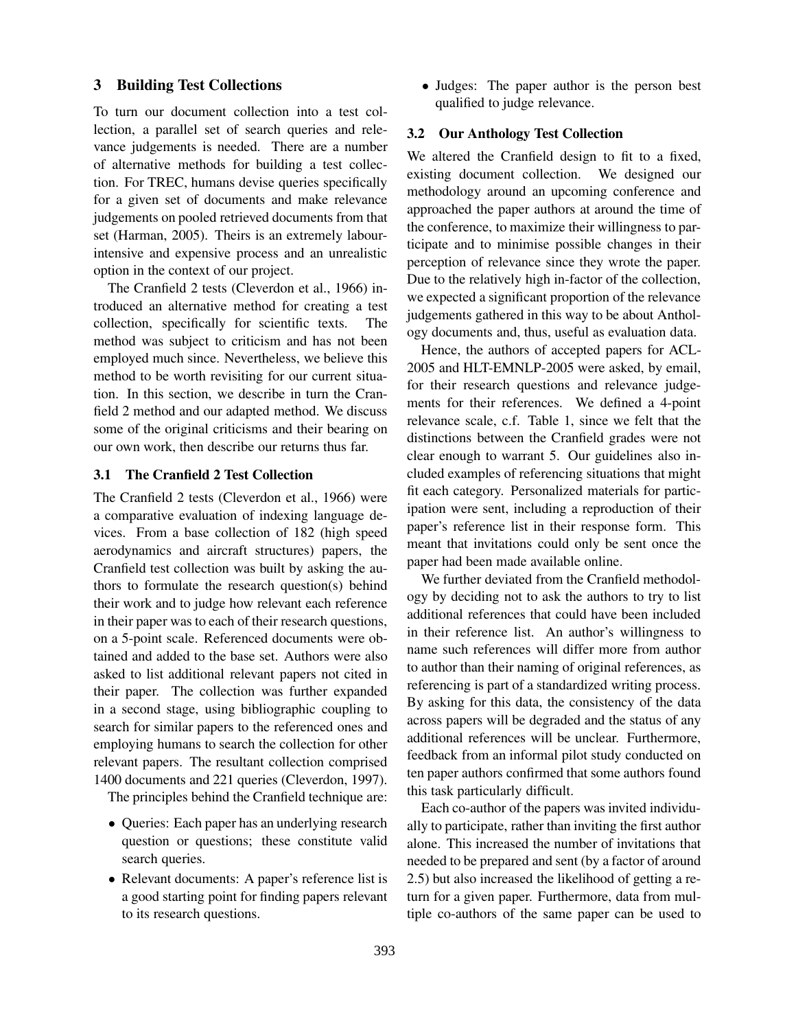# **3 Building Test Collections**

To turn our document collection into a test collection, a parallel set of search queries and relevance judgements is needed. There are a number of alternative methods for building a test collection. For TREC, humans devise queries specifically for a given set of documents and make relevance judgements on pooled retrieved documents from that set (Harman, 2005). Theirs is an extremely labourintensive and expensive process and an unrealistic option in the context of our project.

The Cranfield 2 tests (Cleverdon et al., 1966) introduced an alternative method for creating a test collection, specifically for scientific texts. The method was subject to criticism and has not been employed much since. Nevertheless, we believe this method to be worth revisiting for our current situation. In this section, we describe in turn the Cranfield 2 method and our adapted method. We discuss some of the original criticisms and their bearing on our own work, then describe our returns thus far.

## **3.1 The Cranfield 2 Test Collection**

The Cranfield 2 tests (Cleverdon et al., 1966) were a comparative evaluation of indexing language devices. From a base collection of 182 (high speed aerodynamics and aircraft structures) papers, the Cranfield test collection was built by asking the authors to formulate the research question(s) behind their work and to judge how relevant each reference in their paper was to each of their research questions, on a 5-point scale. Referenced documents were obtained and added to the base set. Authors were also asked to list additional relevant papers not cited in their paper. The collection was further expanded in a second stage, using bibliographic coupling to search for similar papers to the referenced ones and employing humans to search the collection for other relevant papers. The resultant collection comprised 1400 documents and 221 queries (Cleverdon, 1997).

The principles behind the Cranfield technique are:

- Queries: Each paper has an underlying research question or questions; these constitute valid search queries.
- Relevant documents: A paper's reference list is a good starting point for finding papers relevant to its research questions.

• Judges: The paper author is the person best qualified to judge relevance.

#### **3.2 Our Anthology Test Collection**

We altered the Cranfield design to fit to a fixed, existing document collection. We designed our methodology around an upcoming conference and approached the paper authors at around the time of the conference, to maximize their willingness to participate and to minimise possible changes in their perception of relevance since they wrote the paper. Due to the relatively high in-factor of the collection, we expected a significant proportion of the relevance judgements gathered in this way to be about Anthology documents and, thus, useful as evaluation data.

Hence, the authors of accepted papers for ACL-2005 and HLT-EMNLP-2005 were asked, by email, for their research questions and relevance judgements for their references. We defined a 4-point relevance scale, c.f. Table 1, since we felt that the distinctions between the Cranfield grades were not clear enough to warrant 5. Our guidelines also included examples of referencing situations that might fit each category. Personalized materials for participation were sent, including a reproduction of their paper's reference list in their response form. This meant that invitations could only be sent once the paper had been made available online.

We further deviated from the Cranfield methodology by deciding not to ask the authors to try to list additional references that could have been included in their reference list. An author's willingness to name such references will differ more from author to author than their naming of original references, as referencing is part of a standardized writing process. By asking for this data, the consistency of the data across papers will be degraded and the status of any additional references will be unclear. Furthermore, feedback from an informal pilot study conducted on ten paper authors confirmed that some authors found this task particularly difficult.

Each co-author of the papers was invited individually to participate, rather than inviting the first author alone. This increased the number of invitations that needed to be prepared and sent (by a factor of around 2.5) but also increased the likelihood of getting a return for a given paper. Furthermore, data from multiple co-authors of the same paper can be used to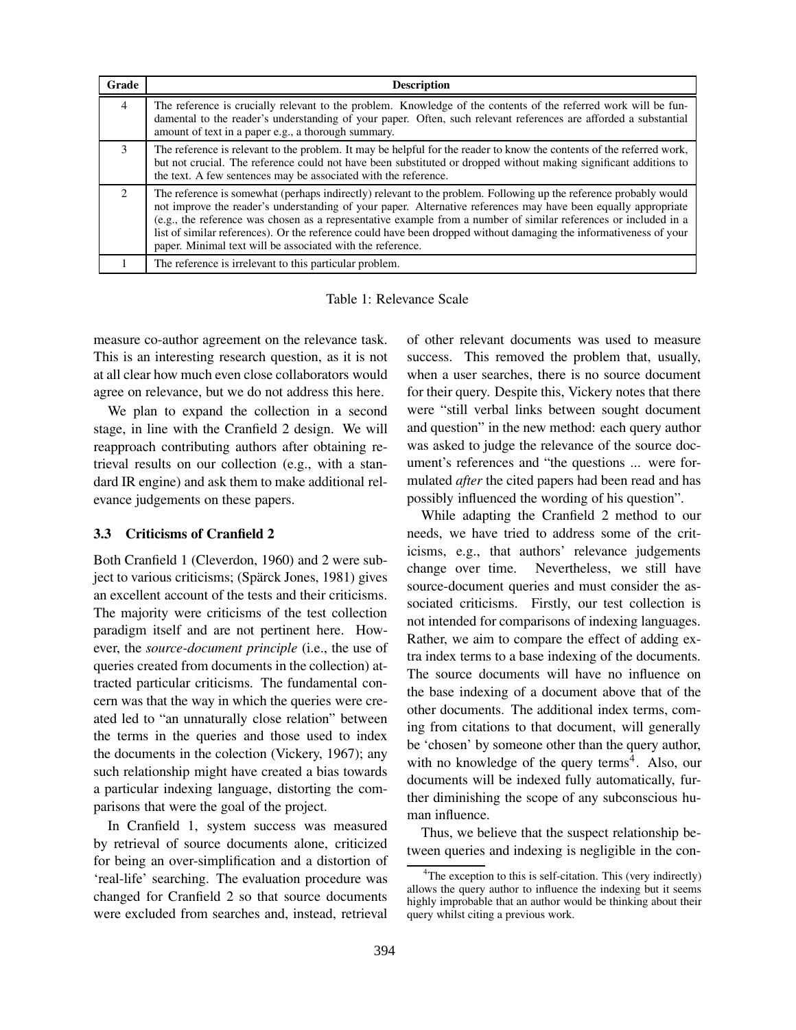| Grade          | <b>Description</b>                                                                                                                                                                                                                                                                                                                                                                                                                                                                                                                          |
|----------------|---------------------------------------------------------------------------------------------------------------------------------------------------------------------------------------------------------------------------------------------------------------------------------------------------------------------------------------------------------------------------------------------------------------------------------------------------------------------------------------------------------------------------------------------|
| $\overline{4}$ | The reference is crucially relevant to the problem. Knowledge of the contents of the referred work will be fun-<br>damental to the reader's understanding of your paper. Often, such relevant references are afforded a substantial<br>amount of text in a paper e.g., a thorough summary.                                                                                                                                                                                                                                                  |
| 3              | The reference is relevant to the problem. It may be helpful for the reader to know the contents of the referred work,<br>but not crucial. The reference could not have been substituted or dropped without making significant additions to<br>the text. A few sentences may be associated with the reference.                                                                                                                                                                                                                               |
| $\mathcal{L}$  | The reference is somewhat (perhaps indirectly) relevant to the problem. Following up the reference probably would<br>not improve the reader's understanding of your paper. Alternative references may have been equally appropriate<br>(e.g., the reference was chosen as a representative example from a number of similar references or included in a<br>list of similar references). Or the reference could have been dropped without damaging the informativeness of your<br>paper. Minimal text will be associated with the reference. |
|                | The reference is irrelevant to this particular problem.                                                                                                                                                                                                                                                                                                                                                                                                                                                                                     |

Table 1: Relevance Scale

measure co-author agreement on the relevance task. This is an interesting research question, as it is not at all clear how much even close collaborators would agree on relevance, but we do not address this here.

We plan to expand the collection in a second stage, in line with the Cranfield 2 design. We will reapproach contributing authors after obtaining retrieval results on our collection (e.g., with a standard IR engine) and ask them to make additional relevance judgements on these papers.

#### **3.3 Criticisms of Cranfield 2**

Both Cranfield 1 (Cleverdon, 1960) and 2 were subject to various criticisms; (Spärck Jones, 1981) gives an excellent account of the tests and their criticisms. The majority were criticisms of the test collection paradigm itself and are not pertinent here. However, the *source-document principle* (i.e., the use of queries created from documents in the collection) attracted particular criticisms. The fundamental concern was that the way in which the queries were created led to "an unnaturally close relation" between the terms in the queries and those used to index the documents in the colection (Vickery, 1967); any such relationship might have created a bias towards a particular indexing language, distorting the comparisons that were the goal of the project.

In Cranfield 1, system success was measured by retrieval of source documents alone, criticized for being an over-simplification and a distortion of 'real-life' searching. The evaluation procedure was changed for Cranfield 2 so that source documents were excluded from searches and, instead, retrieval of other relevant documents was used to measure success. This removed the problem that, usually, when a user searches, there is no source document for their query. Despite this, Vickery notes that there were "still verbal links between sought document and question" in the new method: each query author was asked to judge the relevance of the source document's references and "the questions ... were formulated *after* the cited papers had been read and has possibly influenced the wording of his question".

While adapting the Cranfield 2 method to our needs, we have tried to address some of the criticisms, e.g., that authors' relevance judgements change over time. Nevertheless, we still have source-document queries and must consider the associated criticisms. Firstly, our test collection is not intended for comparisons of indexing languages. Rather, we aim to compare the effect of adding extra index terms to a base indexing of the documents. The source documents will have no influence on the base indexing of a document above that of the other documents. The additional index terms, coming from citations to that document, will generally be 'chosen' by someone other than the query author, with no knowledge of the query terms<sup>4</sup>. Also, our documents will be indexed fully automatically, further diminishing the scope of any subconscious human influence.

Thus, we believe that the suspect relationship between queries and indexing is negligible in the con-

 $4$ The exception to this is self-citation. This (very indirectly) allows the query author to influence the indexing but it seems highly improbable that an author would be thinking about their query whilst citing a previous work.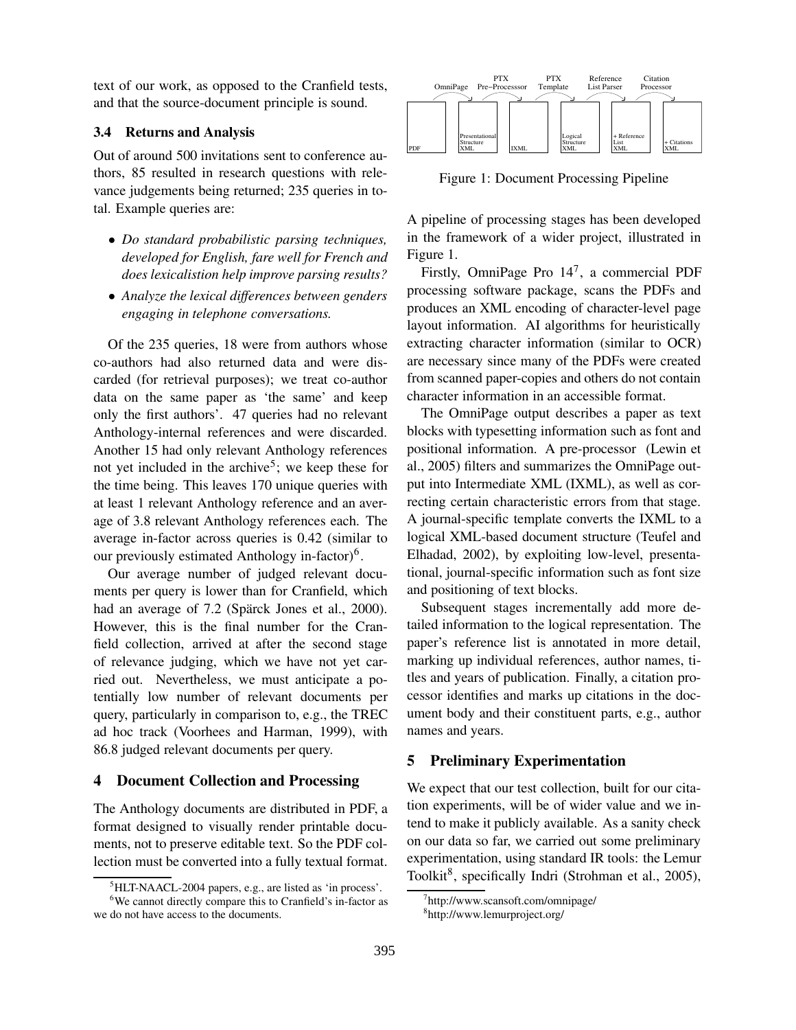text of our work, as opposed to the Cranfield tests, and that the source-document principle is sound.

#### **3.4 Returns and Analysis**

Out of around 500 invitations sent to conference authors, 85 resulted in research questions with relevance judgements being returned; 235 queries in total. Example queries are:

- *Do standard probabilistic parsing techniques, developed for English, fare well for French and does lexicalistion help improve parsing results?*
- *Analyze the lexical differences between genders engaging in telephone conversations.*

Of the 235 queries, 18 were from authors whose co-authors had also returned data and were discarded (for retrieval purposes); we treat co-author data on the same paper as 'the same' and keep only the first authors'. 47 queries had no relevant Anthology-internal references and were discarded. Another 15 had only relevant Anthology references not yet included in the archive<sup>5</sup>; we keep these for the time being. This leaves 170 unique queries with at least 1 relevant Anthology reference and an average of 3.8 relevant Anthology references each. The average in-factor across queries is 0.42 (similar to our previously estimated Anthology in-factor)<sup>6</sup>.

Our average number of judged relevant documents per query is lower than for Cranfield, which had an average of 7.2 (Spärck Jones et al., 2000). However, this is the final number for the Cranfield collection, arrived at after the second stage of relevance judging, which we have not yet carried out. Nevertheless, we must anticipate a potentially low number of relevant documents per query, particularly in comparison to, e.g., the TREC ad hoc track (Voorhees and Harman, 1999), with 86.8 judged relevant documents per query.

## **4 Document Collection and Processing**

The Anthology documents are distributed in PDF, a format designed to visually render printable documents, not to preserve editable text. So the PDF collection must be converted into a fully textual format.



Figure 1: Document Processing Pipeline

A pipeline of processing stages has been developed in the framework of a wider project, illustrated in Figure 1.

Firstly, OmniPage Pro 14<sup>7</sup>, a commercial PDF processing software package, scans the PDFs and produces an XML encoding of character-level page layout information. AI algorithms for heuristically extracting character information (similar to OCR) are necessary since many of the PDFs were created from scanned paper-copies and others do not contain character information in an accessible format.

The OmniPage output describes a paper as text blocks with typesetting information such as font and positional information. A pre-processor (Lewin et al., 2005) filters and summarizes the OmniPage output into Intermediate XML (IXML), as well as correcting certain characteristic errors from that stage. A journal-specific template converts the IXML to a logical XML-based document structure (Teufel and Elhadad, 2002), by exploiting low-level, presentational, journal-specific information such as font size and positioning of text blocks.

Subsequent stages incrementally add more detailed information to the logical representation. The paper's reference list is annotated in more detail, marking up individual references, author names, titles and years of publication. Finally, a citation processor identifies and marks up citations in the document body and their constituent parts, e.g., author names and years.

## **5 Preliminary Experimentation**

We expect that our test collection, built for our citation experiments, will be of wider value and we intend to make it publicly available. As a sanity check on our data so far, we carried out some preliminary experimentation, using standard IR tools: the Lemur Toolkit<sup>8</sup>, specifically Indri (Strohman et al., 2005),

<sup>&</sup>lt;sup>5</sup>HLT-NAACL-2004 papers, e.g., are listed as 'in process'.

<sup>6</sup>We cannot directly compare this to Cranfield's in-factor as we do not have access to the documents.

<sup>7</sup> http://www.scansoft.com/omnipage/

<sup>8</sup> http://www.lemurproject.org/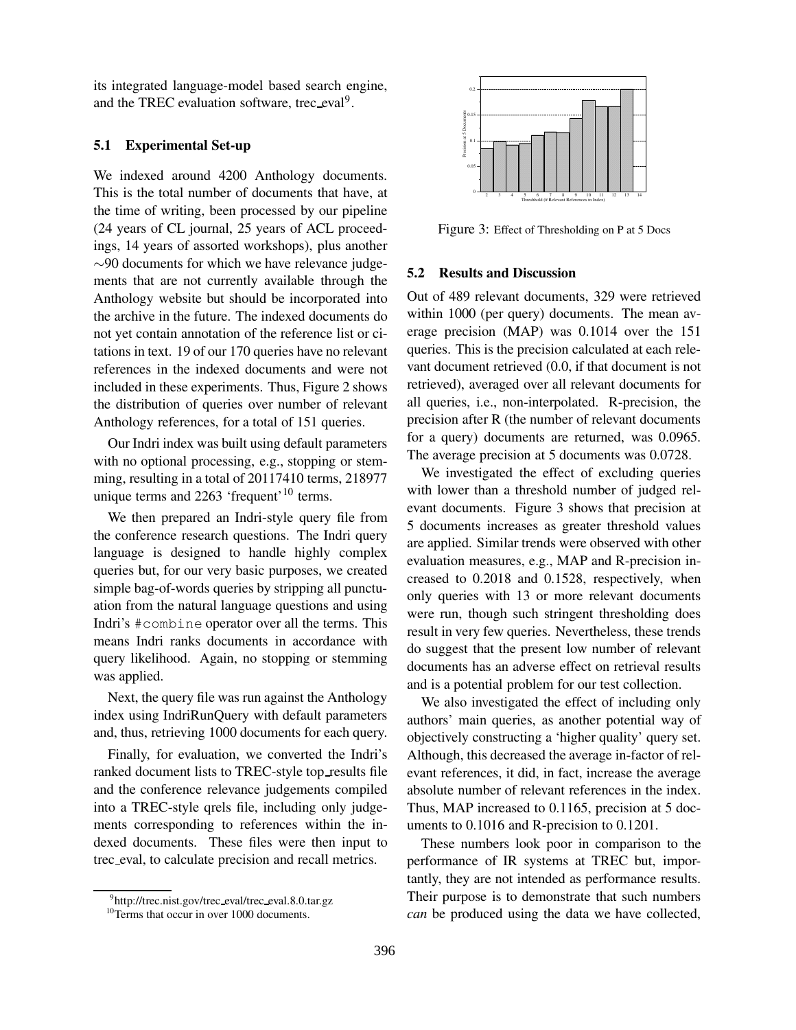its integrated language-model based search engine, and the TREC evaluation software, trec\_eval<sup>9</sup>.

### **5.1 Experimental Set-up**

We indexed around 4200 Anthology documents. This is the total number of documents that have, at the time of writing, been processed by our pipeline (24 years of CL journal, 25 years of ACL proceedings, 14 years of assorted workshops), plus another ∼90 documents for which we have relevance judgements that are not currently available through the Anthology website but should be incorporated into the archive in the future. The indexed documents do not yet contain annotation of the reference list or citations in text. 19 of our 170 queries have no relevant references in the indexed documents and were not included in these experiments. Thus, Figure 2 shows the distribution of queries over number of relevant Anthology references, for a total of 151 queries.

Our Indri index was built using default parameters with no optional processing, e.g., stopping or stemming, resulting in a total of 20117410 terms, 218977 unique terms and  $2263$  'frequent'<sup>10</sup> terms.

We then prepared an Indri-style query file from the conference research questions. The Indri query language is designed to handle highly complex queries but, for our very basic purposes, we created simple bag-of-words queries by stripping all punctuation from the natural language questions and using Indri's #combine operator over all the terms. This means Indri ranks documents in accordance with query likelihood. Again, no stopping or stemming was applied.

Next, the query file was run against the Anthology index using IndriRunQuery with default parameters and, thus, retrieving 1000 documents for each query.

Finally, for evaluation, we converted the Indri's ranked document lists to TREC-style top results file and the conference relevance judgements compiled into a TREC-style qrels file, including only judgements corresponding to references within the indexed documents. These files were then input to trec eval, to calculate precision and recall metrics.



<sup>&</sup>lt;sup>10</sup>Terms that occur in over 1000 documents.



Figure 3: Effect of Thresholding on P at 5 Docs

#### **5.2 Results and Discussion**

Out of 489 relevant documents, 329 were retrieved within 1000 (per query) documents. The mean average precision (MAP) was 0.1014 over the 151 queries. This is the precision calculated at each relevant document retrieved (0.0, if that document is not retrieved), averaged over all relevant documents for all queries, i.e., non-interpolated. R-precision, the precision after R (the number of relevant documents for a query) documents are returned, was 0.0965. The average precision at 5 documents was 0.0728.

We investigated the effect of excluding queries with lower than a threshold number of judged relevant documents. Figure 3 shows that precision at 5 documents increases as greater threshold values are applied. Similar trends were observed with other evaluation measures, e.g., MAP and R-precision increased to 0.2018 and 0.1528, respectively, when only queries with 13 or more relevant documents were run, though such stringent thresholding does result in very few queries. Nevertheless, these trends do suggest that the present low number of relevant documents has an adverse effect on retrieval results and is a potential problem for our test collection.

We also investigated the effect of including only authors' main queries, as another potential way of objectively constructing a 'higher quality' query set. Although, this decreased the average in-factor of relevant references, it did, in fact, increase the average absolute number of relevant references in the index. Thus, MAP increased to 0.1165, precision at 5 documents to 0.1016 and R-precision to 0.1201.

These numbers look poor in comparison to the performance of IR systems at TREC but, importantly, they are not intended as performance results. Their purpose is to demonstrate that such numbers *can* be produced using the data we have collected,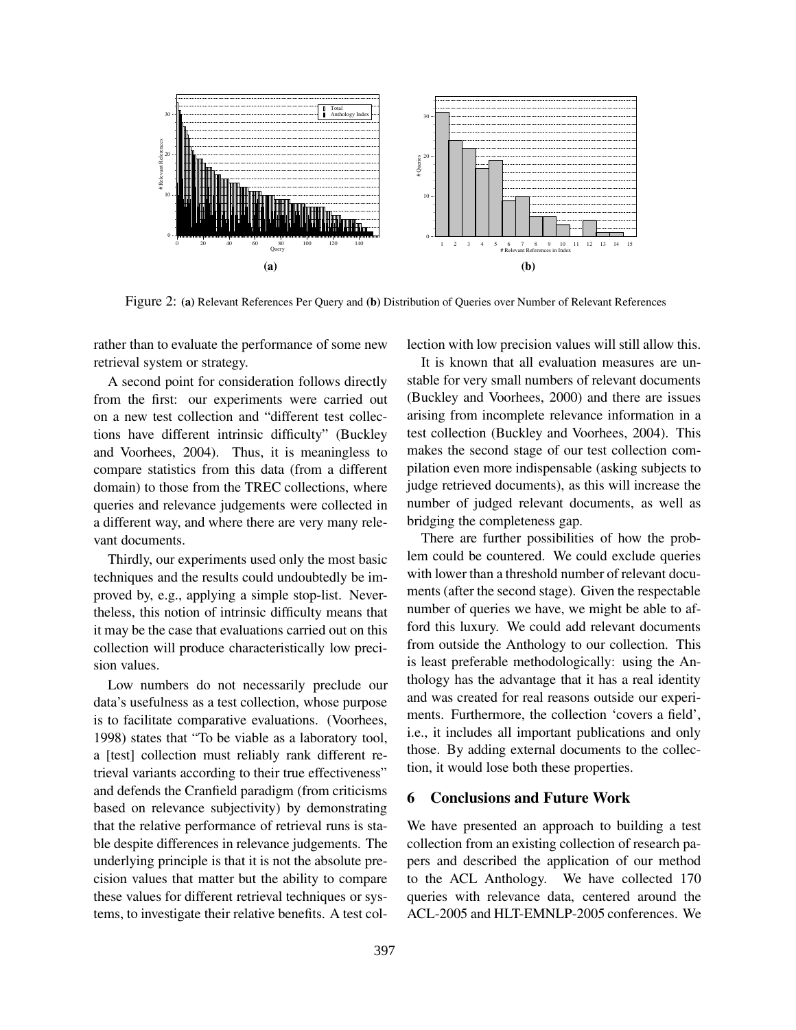

Figure 2: **(a)** Relevant References Per Query and **(b)** Distribution of Queries over Number of Relevant References

rather than to evaluate the performance of some new retrieval system or strategy.

A second point for consideration follows directly from the first: our experiments were carried out on a new test collection and "different test collections have different intrinsic difficulty" (Buckley and Voorhees, 2004). Thus, it is meaningless to compare statistics from this data (from a different domain) to those from the TREC collections, where queries and relevance judgements were collected in a different way, and where there are very many relevant documents.

Thirdly, our experiments used only the most basic techniques and the results could undoubtedly be improved by, e.g., applying a simple stop-list. Nevertheless, this notion of intrinsic difficulty means that it may be the case that evaluations carried out on this collection will produce characteristically low precision values.

Low numbers do not necessarily preclude our data's usefulness as a test collection, whose purpose is to facilitate comparative evaluations. (Voorhees, 1998) states that "To be viable as a laboratory tool, a [test] collection must reliably rank different retrieval variants according to their true effectiveness" and defends the Cranfield paradigm (from criticisms based on relevance subjectivity) by demonstrating that the relative performance of retrieval runs is stable despite differences in relevance judgements. The underlying principle is that it is not the absolute precision values that matter but the ability to compare these values for different retrieval techniques or systems, to investigate their relative benefits. A test collection with low precision values will still allow this.

It is known that all evaluation measures are unstable for very small numbers of relevant documents (Buckley and Voorhees, 2000) and there are issues arising from incomplete relevance information in a test collection (Buckley and Voorhees, 2004). This makes the second stage of our test collection compilation even more indispensable (asking subjects to judge retrieved documents), as this will increase the number of judged relevant documents, as well as bridging the completeness gap.

There are further possibilities of how the problem could be countered. We could exclude queries with lower than a threshold number of relevant documents (after the second stage). Given the respectable number of queries we have, we might be able to afford this luxury. We could add relevant documents from outside the Anthology to our collection. This is least preferable methodologically: using the Anthology has the advantage that it has a real identity and was created for real reasons outside our experiments. Furthermore, the collection 'covers a field', i.e., it includes all important publications and only those. By adding external documents to the collection, it would lose both these properties.

## **6 Conclusions and Future Work**

We have presented an approach to building a test collection from an existing collection of research papers and described the application of our method to the ACL Anthology. We have collected 170 queries with relevance data, centered around the ACL-2005 and HLT-EMNLP-2005 conferences. We